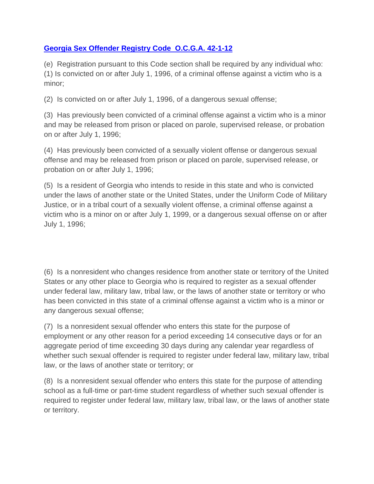## **[Georgia Sex Offender Registry Code](https://gbi.georgia.gov/42-1-12-state-sexual-offender-registry) O.C.G.A. 42-1-12**

(e) Registration pursuant to this Code section shall be required by any individual who: (1) Is convicted on or after July 1, 1996, of a criminal offense against a victim who is a minor;

(2) Is convicted on or after July 1, 1996, of a dangerous sexual offense;

(3) Has previously been convicted of a criminal offense against a victim who is a minor and may be released from prison or placed on parole, supervised release, or probation on or after July 1, 1996;

(4) Has previously been convicted of a sexually violent offense or dangerous sexual offense and may be released from prison or placed on parole, supervised release, or probation on or after July 1, 1996;

(5) Is a resident of Georgia who intends to reside in this state and who is convicted under the laws of another state or the United States, under the Uniform Code of Military Justice, or in a tribal court of a sexually violent offense, a criminal offense against a victim who is a minor on or after July 1, 1999, or a dangerous sexual offense on or after July 1, 1996;

(6) Is a nonresident who changes residence from another state or territory of the United States or any other place to Georgia who is required to register as a sexual offender under federal law, military law, tribal law, or the laws of another state or territory or who has been convicted in this state of a criminal offense against a victim who is a minor or any dangerous sexual offense;

(7) Is a nonresident sexual offender who enters this state for the purpose of employment or any other reason for a period exceeding 14 consecutive days or for an aggregate period of time exceeding 30 days during any calendar year regardless of whether such sexual offender is required to register under federal law, military law, tribal law, or the laws of another state or territory; or

(8) Is a nonresident sexual offender who enters this state for the purpose of attending school as a full-time or part-time student regardless of whether such sexual offender is required to register under federal law, military law, tribal law, or the laws of another state or territory.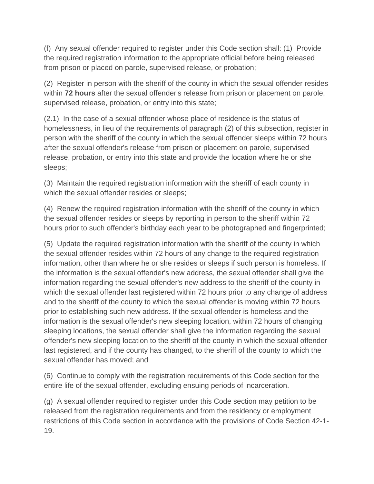(f) Any sexual offender required to register under this Code section shall: (1) Provide the required registration information to the appropriate official before being released from prison or placed on parole, supervised release, or probation;

(2) Register in person with the sheriff of the county in which the sexual offender resides within **72 hours** after the sexual offender's release from prison or placement on parole, supervised release, probation, or entry into this state;

(2.1) In the case of a sexual offender whose place of residence is the status of homelessness, in lieu of the requirements of paragraph (2) of this subsection, register in person with the sheriff of the county in which the sexual offender sleeps within 72 hours after the sexual offender's release from prison or placement on parole, supervised release, probation, or entry into this state and provide the location where he or she sleeps;

(3) Maintain the required registration information with the sheriff of each county in which the sexual offender resides or sleeps;

(4) Renew the required registration information with the sheriff of the county in which the sexual offender resides or sleeps by reporting in person to the sheriff within 72 hours prior to such offender's birthday each year to be photographed and fingerprinted;

(5) Update the required registration information with the sheriff of the county in which the sexual offender resides within 72 hours of any change to the required registration information, other than where he or she resides or sleeps if such person is homeless. If the information is the sexual offender's new address, the sexual offender shall give the information regarding the sexual offender's new address to the sheriff of the county in which the sexual offender last registered within 72 hours prior to any change of address and to the sheriff of the county to which the sexual offender is moving within 72 hours prior to establishing such new address. If the sexual offender is homeless and the information is the sexual offender's new sleeping location, within 72 hours of changing sleeping locations, the sexual offender shall give the information regarding the sexual offender's new sleeping location to the sheriff of the county in which the sexual offender last registered, and if the county has changed, to the sheriff of the county to which the sexual offender has moved; and

(6) Continue to comply with the registration requirements of this Code section for the entire life of the sexual offender, excluding ensuing periods of incarceration.

(g) A sexual offender required to register under this Code section may petition to be released from the registration requirements and from the residency or employment restrictions of this Code section in accordance with the provisions of Code Section 42-1- 19.